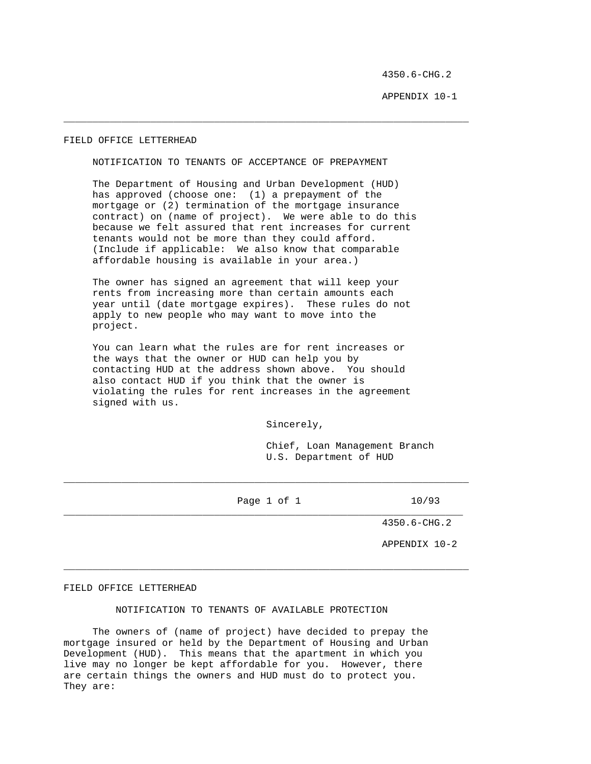4350.6-CHG.2

APPENDIX 10-1

## FIELD OFFICE LETTERHEAD

## NOTIFICATION TO TENANTS OF ACCEPTANCE OF PREPAYMENT

 The Department of Housing and Urban Development (HUD) has approved (choose one: (1) a prepayment of the mortgage or (2) termination of the mortgage insurance contract) on (name of project). We were able to do this because we felt assured that rent increases for current tenants would not be more than they could afford. (Include if applicable: We also know that comparable affordable housing is available in your area.)

\_\_\_\_\_\_\_\_\_\_\_\_\_\_\_\_\_\_\_\_\_\_\_\_\_\_\_\_\_\_\_\_\_\_\_\_\_\_\_\_\_\_\_\_\_\_\_\_\_\_\_\_\_\_\_\_\_\_\_\_\_\_\_\_\_\_\_\_\_\_

 The owner has signed an agreement that will keep your rents from increasing more than certain amounts each year until (date mortgage expires). These rules do not apply to new people who may want to move into the project.

 You can learn what the rules are for rent increases or the ways that the owner or HUD can help you by contacting HUD at the address shown above. You should also contact HUD if you think that the owner is violating the rules for rent increases in the agreement signed with us.

Sincerely,

 Chief, Loan Management Branch U.S. Department of HUD

Page 1 of 1 10/93 \_\_\_\_\_\_\_\_\_\_\_\_\_\_\_\_\_\_\_\_\_\_\_\_\_\_\_\_\_\_\_\_\_\_\_\_\_\_\_\_\_\_\_\_\_\_\_\_\_\_\_\_\_\_\_\_\_\_\_\_\_\_\_\_\_\_\_\_\_

\_\_\_\_\_\_\_\_\_\_\_\_\_\_\_\_\_\_\_\_\_\_\_\_\_\_\_\_\_\_\_\_\_\_\_\_\_\_\_\_\_\_\_\_\_\_\_\_\_\_\_\_\_\_\_\_\_\_\_\_\_\_\_\_\_\_\_\_\_\_

\_\_\_\_\_\_\_\_\_\_\_\_\_\_\_\_\_\_\_\_\_\_\_\_\_\_\_\_\_\_\_\_\_\_\_\_\_\_\_\_\_\_\_\_\_\_\_\_\_\_\_\_\_\_\_\_\_\_\_\_\_\_\_\_\_\_\_\_\_\_

4350.6-CHG.2

APPENDIX 10-2

### FIELD OFFICE LETTERHEAD

## NOTIFICATION TO TENANTS OF AVAILABLE PROTECTION

 The owners of (name of project) have decided to prepay the mortgage insured or held by the Department of Housing and Urban Development (HUD). This means that the apartment in which you live may no longer be kept affordable for you. However, there are certain things the owners and HUD must do to protect you. They are: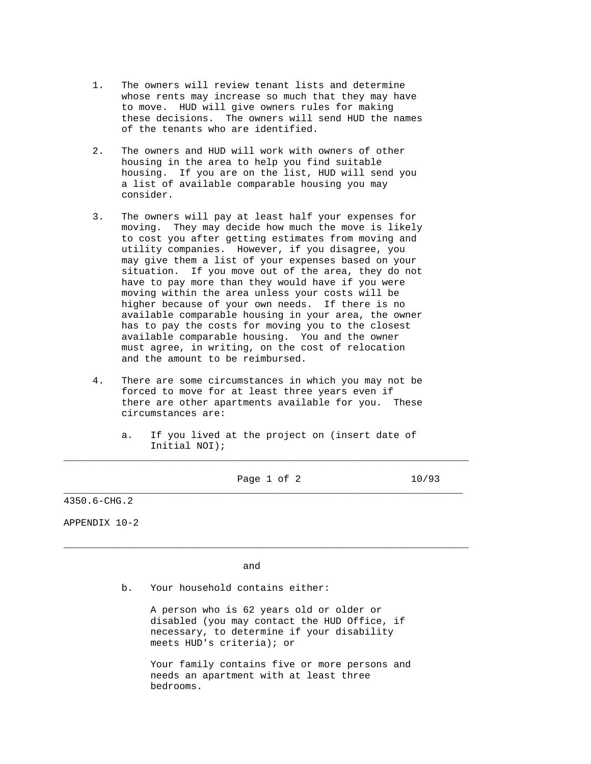- 1. The owners will review tenant lists and determine whose rents may increase so much that they may have to move. HUD will give owners rules for making these decisions. The owners will send HUD the names of the tenants who are identified.
- 2. The owners and HUD will work with owners of other housing in the area to help you find suitable housing. If you are on the list, HUD will send you a list of available comparable housing you may consider.
- 3. The owners will pay at least half your expenses for moving. They may decide how much the move is likely to cost you after getting estimates from moving and utility companies. However, if you disagree, you may give them a list of your expenses based on your situation. If you move out of the area, they do not have to pay more than they would have if you were moving within the area unless your costs will be higher because of your own needs. If there is no available comparable housing in your area, the owner has to pay the costs for moving you to the closest available comparable housing. You and the owner must agree, in writing, on the cost of relocation and the amount to be reimbursed.
- 4. There are some circumstances in which you may not be forced to move for at least three years even if there are other apartments available for you. These circumstances are:
- a. If you lived at the project on (insert date of Initial NOI); \_\_\_\_\_\_\_\_\_\_\_\_\_\_\_\_\_\_\_\_\_\_\_\_\_\_\_\_\_\_\_\_\_\_\_\_\_\_\_\_\_\_\_\_\_\_\_\_\_\_\_\_\_\_\_\_\_\_\_\_\_\_\_\_\_\_\_\_\_\_

\_\_\_\_\_\_\_\_\_\_\_\_\_\_\_\_\_\_\_\_\_\_\_\_\_\_\_\_\_\_\_\_\_\_\_\_\_\_\_\_\_\_\_\_\_\_\_\_\_\_\_\_\_\_\_\_\_\_\_\_\_\_\_\_\_\_\_\_\_

\_\_\_\_\_\_\_\_\_\_\_\_\_\_\_\_\_\_\_\_\_\_\_\_\_\_\_\_\_\_\_\_\_\_\_\_\_\_\_\_\_\_\_\_\_\_\_\_\_\_\_\_\_\_\_\_\_\_\_\_\_\_\_\_\_\_\_\_\_\_

Page 1 of 2 10/93

4350.6-CHG.2

APPENDIX 10-2

and the contract of the contract of the contract of the contract of the contract of the contract of the contract of the contract of the contract of the contract of the contract of the contract of the contract of the contra

b. Your household contains either:

 A person who is 62 years old or older or disabled (you may contact the HUD Office, if necessary, to determine if your disability meets HUD's criteria); or

 Your family contains five or more persons and needs an apartment with at least three bedrooms.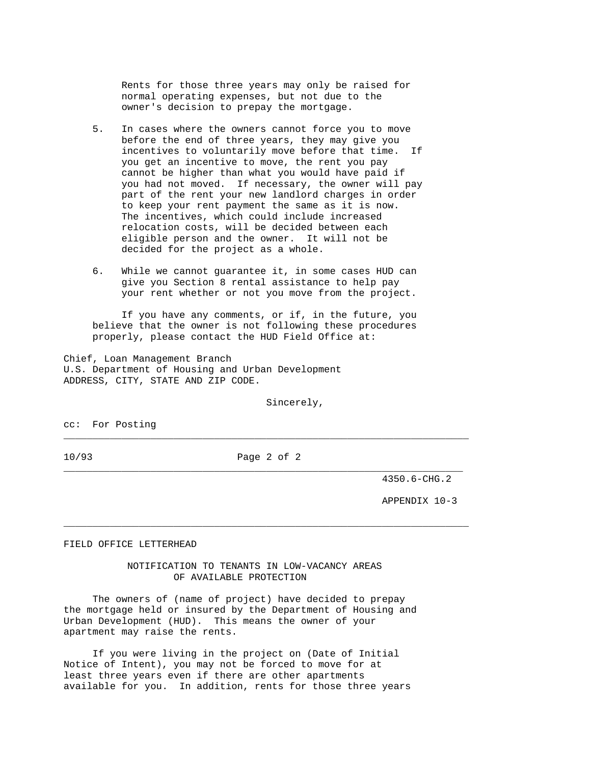Rents for those three years may only be raised for normal operating expenses, but not due to the owner's decision to prepay the mortgage.

- 5. In cases where the owners cannot force you to move before the end of three years, they may give you incentives to voluntarily move before that time. If you get an incentive to move, the rent you pay cannot be higher than what you would have paid if you had not moved. If necessary, the owner will pay part of the rent your new landlord charges in order to keep your rent payment the same as it is now. The incentives, which could include increased relocation costs, will be decided between each eligible person and the owner. It will not be decided for the project as a whole.
- 6. While we cannot guarantee it, in some cases HUD can give you Section 8 rental assistance to help pay your rent whether or not you move from the project.

 If you have any comments, or if, in the future, you believe that the owner is not following these procedures properly, please contact the HUD Field Office at:

Chief, Loan Management Branch U.S. Department of Housing and Urban Development ADDRESS, CITY, STATE AND ZIP CODE.

Sincerely,

cc: For Posting

10/93 Page 2 of 2 \_\_\_\_\_\_\_\_\_\_\_\_\_\_\_\_\_\_\_\_\_\_\_\_\_\_\_\_\_\_\_\_\_\_\_\_\_\_\_\_\_\_\_\_\_\_\_\_\_\_\_\_\_\_\_\_\_\_\_\_\_\_\_\_\_\_\_\_\_

\_\_\_\_\_\_\_\_\_\_\_\_\_\_\_\_\_\_\_\_\_\_\_\_\_\_\_\_\_\_\_\_\_\_\_\_\_\_\_\_\_\_\_\_\_\_\_\_\_\_\_\_\_\_\_\_\_\_\_\_\_\_\_\_\_\_\_\_\_\_

\_\_\_\_\_\_\_\_\_\_\_\_\_\_\_\_\_\_\_\_\_\_\_\_\_\_\_\_\_\_\_\_\_\_\_\_\_\_\_\_\_\_\_\_\_\_\_\_\_\_\_\_\_\_\_\_\_\_\_\_\_\_\_\_\_\_\_\_\_\_

4350.6-CHG.2

APPENDIX 10-3

#### FIELD OFFICE LETTERHEAD

 NOTIFICATION TO TENANTS IN LOW-VACANCY AREAS OF AVAILABLE PROTECTION

 The owners of (name of project) have decided to prepay the mortgage held or insured by the Department of Housing and Urban Development (HUD). This means the owner of your apartment may raise the rents.

 If you were living in the project on (Date of Initial Notice of Intent), you may not be forced to move for at least three years even if there are other apartments available for you. In addition, rents for those three years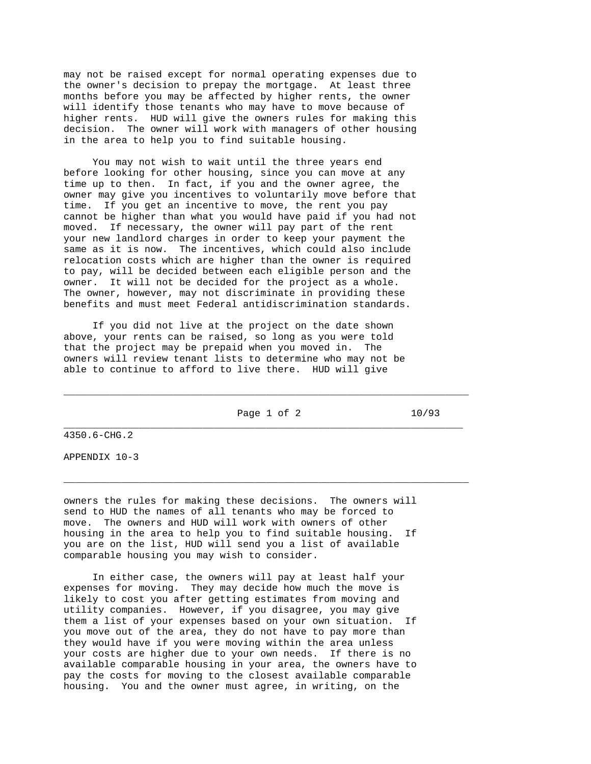may not be raised except for normal operating expenses due to the owner's decision to prepay the mortgage. At least three months before you may be affected by higher rents, the owner will identify those tenants who may have to move because of higher rents. HUD will give the owners rules for making this decision. The owner will work with managers of other housing in the area to help you to find suitable housing.

 You may not wish to wait until the three years end before looking for other housing, since you can move at any time up to then. In fact, if you and the owner agree, the owner may give you incentives to voluntarily move before that time. If you get an incentive to move, the rent you pay cannot be higher than what you would have paid if you had not moved. If necessary, the owner will pay part of the rent your new landlord charges in order to keep your payment the same as it is now. The incentives, which could also include relocation costs which are higher than the owner is required to pay, will be decided between each eligible person and the owner. It will not be decided for the project as a whole. The owner, however, may not discriminate in providing these benefits and must meet Federal antidiscrimination standards.

 If you did not live at the project on the date shown above, your rents can be raised, so long as you were told that the project may be prepaid when you moved in. The owners will review tenant lists to determine who may not be able to continue to afford to live there. HUD will give

Page 1 of 2 10/93 \_\_\_\_\_\_\_\_\_\_\_\_\_\_\_\_\_\_\_\_\_\_\_\_\_\_\_\_\_\_\_\_\_\_\_\_\_\_\_\_\_\_\_\_\_\_\_\_\_\_\_\_\_\_\_\_\_\_\_\_\_\_\_\_\_\_\_\_\_

\_\_\_\_\_\_\_\_\_\_\_\_\_\_\_\_\_\_\_\_\_\_\_\_\_\_\_\_\_\_\_\_\_\_\_\_\_\_\_\_\_\_\_\_\_\_\_\_\_\_\_\_\_\_\_\_\_\_\_\_\_\_\_\_\_\_\_\_\_\_

\_\_\_\_\_\_\_\_\_\_\_\_\_\_\_\_\_\_\_\_\_\_\_\_\_\_\_\_\_\_\_\_\_\_\_\_\_\_\_\_\_\_\_\_\_\_\_\_\_\_\_\_\_\_\_\_\_\_\_\_\_\_\_\_\_\_\_\_\_\_

4350.6-CHG.2

APPENDIX 10-3

owners the rules for making these decisions. The owners will send to HUD the names of all tenants who may be forced to move. The owners and HUD will work with owners of other housing in the area to help you to find suitable housing. If you are on the list, HUD will send you a list of available comparable housing you may wish to consider.

 In either case, the owners will pay at least half your expenses for moving. They may decide how much the move is likely to cost you after getting estimates from moving and utility companies. However, if you disagree, you may give them a list of your expenses based on your own situation. If you move out of the area, they do not have to pay more than they would have if you were moving within the area unless your costs are higher due to your own needs. If there is no available comparable housing in your area, the owners have to pay the costs for moving to the closest available comparable housing. You and the owner must agree, in writing, on the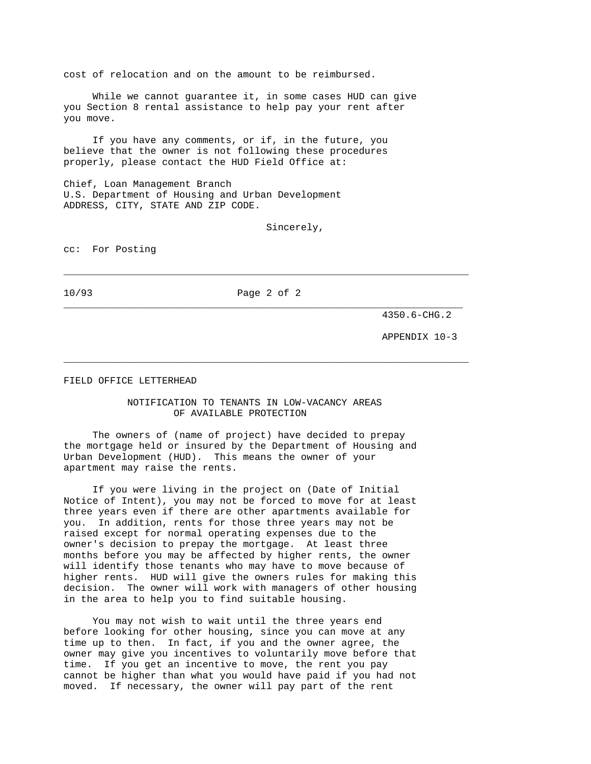cost of relocation and on the amount to be reimbursed.

 While we cannot guarantee it, in some cases HUD can give you Section 8 rental assistance to help pay your rent after you move.

 If you have any comments, or if, in the future, you believe that the owner is not following these procedures properly, please contact the HUD Field Office at:

Chief, Loan Management Branch U.S. Department of Housing and Urban Development ADDRESS, CITY, STATE AND ZIP CODE.

Sincerely,

cc: For Posting

10/93 Page 2 of 2 \_\_\_\_\_\_\_\_\_\_\_\_\_\_\_\_\_\_\_\_\_\_\_\_\_\_\_\_\_\_\_\_\_\_\_\_\_\_\_\_\_\_\_\_\_\_\_\_\_\_\_\_\_\_\_\_\_\_\_\_\_\_\_\_\_\_\_\_\_

\_\_\_\_\_\_\_\_\_\_\_\_\_\_\_\_\_\_\_\_\_\_\_\_\_\_\_\_\_\_\_\_\_\_\_\_\_\_\_\_\_\_\_\_\_\_\_\_\_\_\_\_\_\_\_\_\_\_\_\_\_\_\_\_\_\_\_\_\_\_

\_\_\_\_\_\_\_\_\_\_\_\_\_\_\_\_\_\_\_\_\_\_\_\_\_\_\_\_\_\_\_\_\_\_\_\_\_\_\_\_\_\_\_\_\_\_\_\_\_\_\_\_\_\_\_\_\_\_\_\_\_\_\_\_\_\_\_\_\_\_

4350.6-CHG.2

APPENDIX 10-3

FIELD OFFICE LETTERHEAD

# NOTIFICATION TO TENANTS IN LOW-VACANCY AREAS OF AVAILABLE PROTECTION

 The owners of (name of project) have decided to prepay the mortgage held or insured by the Department of Housing and Urban Development (HUD). This means the owner of your apartment may raise the rents.

 If you were living in the project on (Date of Initial Notice of Intent), you may not be forced to move for at least three years even if there are other apartments available for you. In addition, rents for those three years may not be raised except for normal operating expenses due to the owner's decision to prepay the mortgage. At least three months before you may be affected by higher rents, the owner will identify those tenants who may have to move because of higher rents. HUD will give the owners rules for making this decision. The owner will work with managers of other housing in the area to help you to find suitable housing.

 You may not wish to wait until the three years end before looking for other housing, since you can move at any time up to then. In fact, if you and the owner agree, the owner may give you incentives to voluntarily move before that time. If you get an incentive to move, the rent you pay cannot be higher than what you would have paid if you had not moved. If necessary, the owner will pay part of the rent